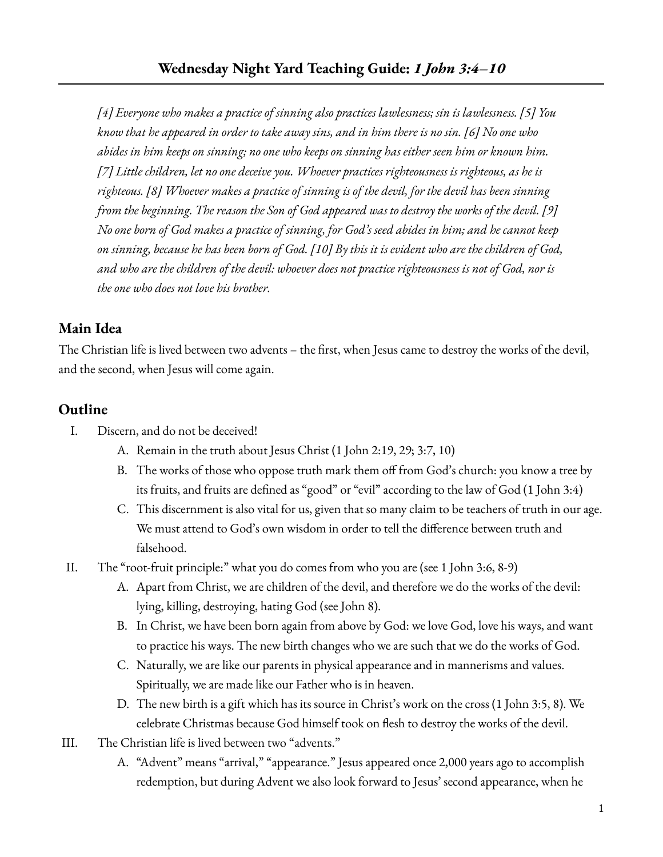*[4] Everyone who makes a practice of sinning also practices lawlessness; sin is lawlessness. [5] You* know that he appeared in order to take away sins, and in him there is no sin. [6] No one who abides in him keeps on sinning; no one who keeps on sinning has either seen him or known him. *[7] Little children, let no one deceive you. Whoever practices righteousness is righteous, as he is righteous. [8] Whoever makes a practice of sinning is of the devil, for the devil has been sinning* from the beginning. The reason the Son of God appeared was to destroy the works of the devil. [9] No one born of God makes a practice of sinning, for God's seed abides in him; and he cannot keep on sinning, because he has been born of God. [10] By this it is evident who are the children of God, and who are the children of the devil: whoever does not practice righteousness is not of God, nor is *the one who does not love his brother.*

## **Main Idea**

The Christian life is lived between two advents – the first, when Jesus came to destroy the works of the devil, and the second, when Jesus will come again.

## **Outline**

- I. Discern, and do not be deceived!
	- A. Remain in the truth about Jesus Christ (1 John 2:19, 29; 3:7, 10)
	- B. The works of those who oppose truth mark them off from God's church: you know a tree by its fruits, and fruits are defined as "good" or "evil" according to the law of God (1 John 3:4)
	- C. This discernment is also vital for us, given that so many claim to be teachers of truth in our age. We must attend to God's own wisdom in order to tell the difference between truth and falsehood.
- II. The "root-fruit principle:" what you do comes from who you are (see 1 John 3:6, 8-9)
	- A. Apart from Christ, we are children of the devil, and therefore we do the works of the devil: lying, killing, destroying, hating God (see John 8).
	- B. In Christ, we have been born again from above by God: we love God, love his ways, and want to practice his ways. The new birth changes who we are such that we do the works of God.
	- C. Naturally, we are like our parents in physical appearance and in mannerisms and values. Spiritually, we are made like our Father who is in heaven.
	- D. The new birth is a gift which has its source in Christ's work on the cross (1 John 3:5, 8). We celebrate Christmas because God himself took on flesh to destroy the works of the devil.
- III. The Christian life is lived between two "advents."
	- A. "Advent" means "arrival," "appearance." Jesus appeared once 2,000 years ago to accomplish redemption, but during Advent we also look forward to Jesus' second appearance, when he